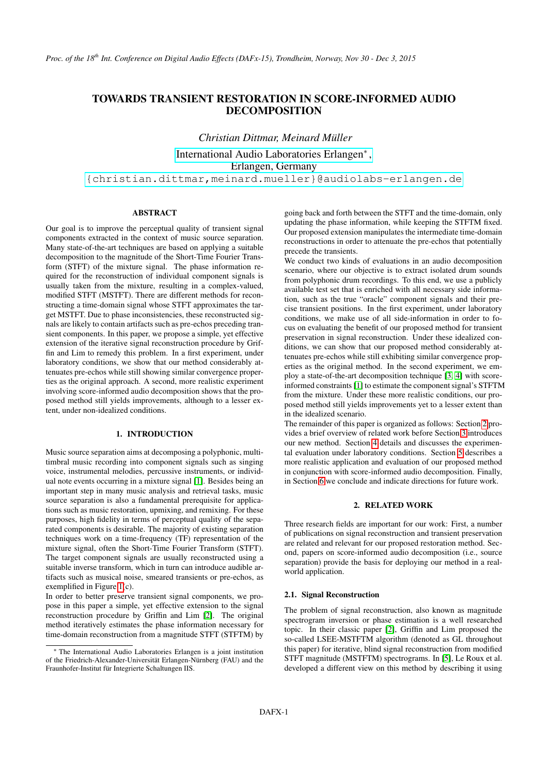# TOWARDS TRANSIENT RESTORATION IN SCORE-INFORMED AUDIO DECOMPOSITION

*Christian Dittmar, Meinard Müller* [International Audio Laboratories Erlangen](http://www.audiolabs-erlangen.de/)<sup>∗</sup> , Erlangen, Germany [{christian.dittmar,meinard.mueller}@audiolabs-erlangen.de](mailto:christian.dittmar@audiolabs-erlangen.de;meinard.mueller@audiolabs-erlangen.de)

## ABSTRACT

Our goal is to improve the perceptual quality of transient signal components extracted in the context of music source separation. Many state-of-the-art techniques are based on applying a suitable decomposition to the magnitude of the Short-Time Fourier Transform (STFT) of the mixture signal. The phase information required for the reconstruction of individual component signals is usually taken from the mixture, resulting in a complex-valued, modified STFT (MSTFT). There are different methods for reconstructing a time-domain signal whose STFT approximates the target MSTFT. Due to phase inconsistencies, these reconstructed signals are likely to contain artifacts such as pre-echos preceding transient components. In this paper, we propose a simple, yet effective extension of the iterative signal reconstruction procedure by Griffin and Lim to remedy this problem. In a first experiment, under laboratory conditions, we show that our method considerably attenuates pre-echos while still showing similar convergence properties as the original approach. A second, more realistic experiment involving score-informed audio decomposition shows that the proposed method still yields improvements, although to a lesser extent, under non-idealized conditions.

## 1. INTRODUCTION

Music source separation aims at decomposing a polyphonic, multitimbral music recording into component signals such as singing voice, instrumental melodies, percussive instruments, or individual note events occurring in a mixture signal [\[1\]](#page-6-0). Besides being an important step in many music analysis and retrieval tasks, music source separation is also a fundamental prerequisite for applications such as music restoration, upmixing, and remixing. For these purposes, high fidelity in terms of perceptual quality of the separated components is desirable. The majority of existing separation techniques work on a time-frequency (TF) representation of the mixture signal, often the Short-Time Fourier Transform (STFT). The target component signals are usually reconstructed using a suitable inverse transform, which in turn can introduce audible artifacts such as musical noise, smeared transients or pre-echos, as exemplified in Figure [1\(](#page-1-0)c).

In order to better preserve transient signal components, we propose in this paper a simple, yet effective extension to the signal reconstruction procedure by Griffin and Lim [\[2\]](#page-6-1). The original method iteratively estimates the phase information necessary for time-domain reconstruction from a magnitude STFT (STFTM) by

going back and forth between the STFT and the time-domain, only updating the phase information, while keeping the STFTM fixed. Our proposed extension manipulates the intermediate time-domain reconstructions in order to attenuate the pre-echos that potentially precede the transients.

We conduct two kinds of evaluations in an audio decomposition scenario, where our objective is to extract isolated drum sounds from polyphonic drum recordings. To this end, we use a publicly available test set that is enriched with all necessary side information, such as the true "oracle" component signals and their precise transient positions. In the first experiment, under laboratory conditions, we make use of all side-information in order to focus on evaluating the benefit of our proposed method for transient preservation in signal reconstruction. Under these idealized conditions, we can show that our proposed method considerably attenuates pre-echos while still exhibiting similar convergence properties as the original method. In the second experiment, we employ a state-of-the-art decomposition technique [\[3,](#page-6-2) [4\]](#page-6-3) with scoreinformed constraints [\[1\]](#page-6-0) to estimate the component signal's STFTM from the mixture. Under these more realistic conditions, our proposed method still yields improvements yet to a lesser extent than in the idealized scenario.

The remainder of this paper is organized as follows: Section [2](#page-0-0) provides a brief overview of related work before Section [3](#page-1-1) introduces our new method. Section [4](#page-3-0) details and discusses the experimental evaluation under laboratory conditions. Section [5](#page-4-0) describes a more realistic application and evaluation of our proposed method in conjunction with score-informed audio decomposition. Finally, in Section [6](#page-6-4) we conclude and indicate directions for future work.

## 2. RELATED WORK

<span id="page-0-0"></span>Three research fields are important for our work: First, a number of publications on signal reconstruction and transient preservation are related and relevant for our proposed restoration method. Second, papers on score-informed audio decomposition (i.e., source separation) provide the basis for deploying our method in a realworld application.

#### 2.1. Signal Reconstruction

The problem of signal reconstruction, also known as magnitude spectrogram inversion or phase estimation is a well researched topic. In their classic paper [\[2\]](#page-6-1), Griffin and Lim proposed the so-called LSEE-MSTFTM algorithm (denoted as GL throughout this paper) for iterative, blind signal reconstruction from modified STFT magnitude (MSTFTM) spectrograms. In [\[5\]](#page-7-0), Le Roux et al. developed a different view on this method by describing it using

<sup>∗</sup> The International Audio Laboratories Erlangen is a joint institution of the Friedrich-Alexander-Universität Erlangen-Nürnberg (FAU) and the Fraunhofer-Institut für Integrierte Schaltungen IIS.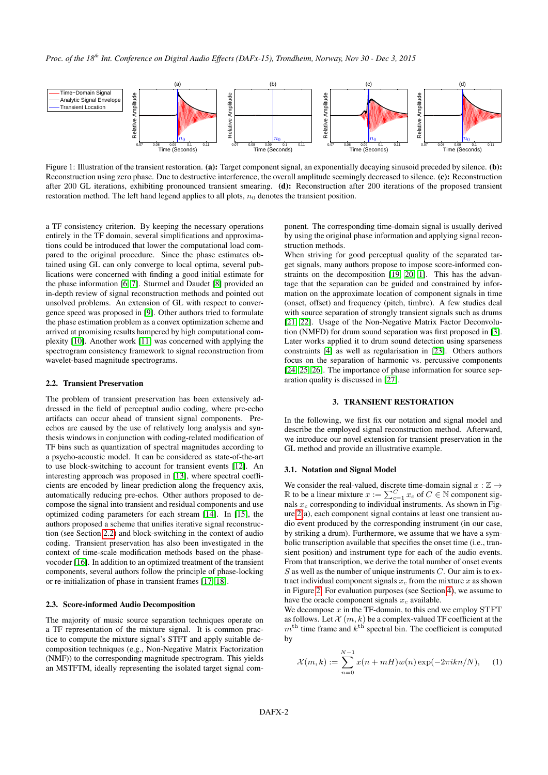

<span id="page-1-0"></span>Figure 1: Illustration of the transient restoration. (a): Target component signal, an exponentially decaying sinusoid preceded by silence. (b): Reconstruction using zero phase. Due to destructive interference, the overall amplitude seemingly decreased to silence. (c): Reconstruction after 200 GL iterations, exhibiting pronounced transient smearing. (d): Reconstruction after 200 iterations of the proposed transient restoration method. The left hand legend applies to all plots,  $n_0$  denotes the transient position.

a TF consistency criterion. By keeping the necessary operations entirely in the TF domain, several simplifications and approximations could be introduced that lower the computational load compared to the original procedure. Since the phase estimates obtained using GL can only converge to local optima, several publications were concerned with finding a good initial estimate for the phase information [\[6,](#page-7-1) [7\]](#page-7-2). Sturmel and Daudet [\[8\]](#page-7-3) provided an in-depth review of signal reconstruction methods and pointed out unsolved problems. An extension of GL with respect to convergence speed was proposed in [\[9\]](#page-7-4). Other authors tried to formulate the phase estimation problem as a convex optimization scheme and arrived at promising results hampered by high computational complexity [\[10\]](#page-7-5). Another work [\[11\]](#page-7-6) was concerned with applying the spectrogram consistency framework to signal reconstruction from wavelet-based magnitude spectrograms.

#### <span id="page-1-2"></span>2.2. Transient Preservation

The problem of transient preservation has been extensively addressed in the field of perceptual audio coding, where pre-echo artifacts can occur ahead of transient signal components. Preechos are caused by the use of relatively long analysis and synthesis windows in conjunction with coding-related modification of TF bins such as quantization of spectral magnitudes according to a psycho-acoustic model. It can be considered as state-of-the-art to use block-switching to account for transient events [\[12\]](#page-7-7). An interesting approach was proposed in [\[13\]](#page-7-8), where spectral coefficients are encoded by linear prediction along the frequency axis, automatically reducing pre-echos. Other authors proposed to decompose the signal into transient and residual components and use optimized coding parameters for each stream [\[14\]](#page-7-9). In [\[15\]](#page-7-10), the authors proposed a scheme that unifies iterative signal reconstruction (see Section [2.2\)](#page-1-2) and block-switching in the context of audio coding. Transient preservation has also been investigated in the context of time-scale modification methods based on the phasevocoder [\[16\]](#page-7-11). In addition to an optimized treatment of the transient components, several authors follow the principle of phase-locking or re-initialization of phase in transient frames [\[17,](#page-7-12) [18\]](#page-7-13).

#### <span id="page-1-4"></span>2.3. Score-informed Audio Decomposition

The majority of music source separation techniques operate on a TF representation of the mixture signal. It is common practice to compute the mixture signal's STFT and apply suitable decomposition techniques (e.g., Non-Negative Matrix Factorization (NMF)) to the corresponding magnitude spectrogram. This yields an MSTFTM, ideally representing the isolated target signal component. The corresponding time-domain signal is usually derived by using the original phase information and applying signal reconstruction methods.

When striving for good perceptual quality of the separated target signals, many authors propose to impose score-informed constraints on the decomposition [\[19,](#page-7-14) [20,](#page-7-15) [1\]](#page-6-0). This has the advantage that the separation can be guided and constrained by information on the approximate location of component signals in time (onset, offset) and frequency (pitch, timbre). A few studies deal with source separation of strongly transient signals such as drums [\[21,](#page-7-16) [22\]](#page-7-17). Usage of the Non-Negative Matrix Factor Deconvolution (NMFD) for drum sound separation was first proposed in [\[3\]](#page-6-2). Later works applied it to drum sound detection using sparseness constraints [\[4\]](#page-6-3) as well as regularisation in [\[23\]](#page-7-18). Others authors focus on the separation of harmonic vs. percussive components [\[24,](#page-7-19) [25,](#page-7-20) [26\]](#page-7-21). The importance of phase information for source separation quality is discussed in [\[27\]](#page-7-22).

## 3. TRANSIENT RESTORATION

<span id="page-1-1"></span>In the following, we first fix our notation and signal model and describe the employed signal reconstruction method. Afterward, we introduce our novel extension for transient preservation in the GL method and provide an illustrative example.

## 3.1. Notation and Signal Model

We consider the real-valued, discrete time-domain signal  $x : \mathbb{Z} \rightarrow$  $\mathbb R$  to be a linear mixture  $x := \sum_{c=1}^C x_c$  of  $C \in \mathbb N$  component signals  $x_c$  corresponding to individual instruments. As shown in Figure [2\(](#page-2-0)a), each component signal contains at least one transient audio event produced by the corresponding instrument (in our case, by striking a drum). Furthermore, we assume that we have a symbolic transcription available that specifies the onset time (i.e., transient position) and instrument type for each of the audio events. From that transcription, we derive the total number of onset events  $S$  as well as the number of unique instruments  $C$ . Our aim is to extract individual component signals  $x_c$  from the mixture x as shown in Figure [2.](#page-2-0) For evaluation purposes (see Section [4\)](#page-3-0), we assume to have the oracle component signals  $x_c$  available.

We decompose  $x$  in the TF-domain, to this end we employ STFT as follows. Let  $\mathcal{X}(m, k)$  be a complex-valued TF coefficient at the  $m<sup>th</sup>$  time frame and  $k<sup>th</sup>$  spectral bin. The coefficient is computed by

<span id="page-1-3"></span>
$$
\mathcal{X}(m,k) := \sum_{n=0}^{N-1} x(n+mH)w(n) \exp(-2\pi i k n/N), \quad (1)
$$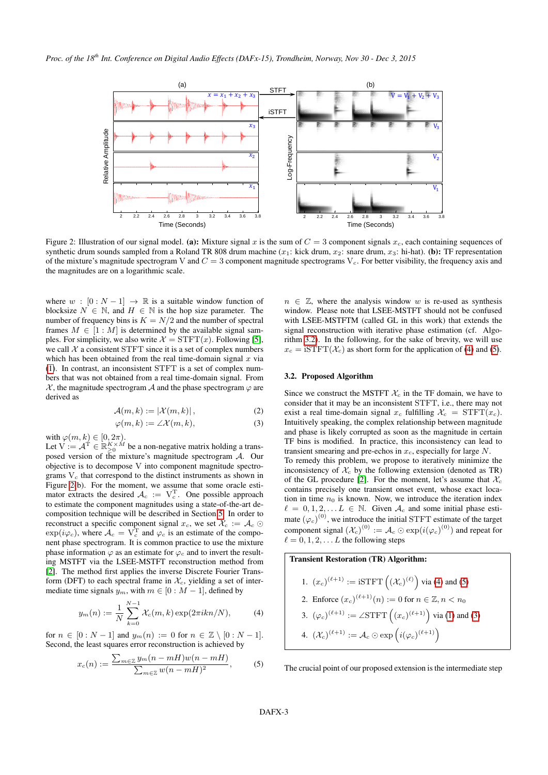

<span id="page-2-0"></span>Figure 2: Illustration of our signal model. (a): Mixture signal x is the sum of  $C = 3$  component signals  $x_c$ , each containing sequences of synthetic drum sounds sampled from a Roland TR 808 drum machine  $(x_1)$ : kick drum,  $x_2$ : snare drum,  $x_3$ : hi-hat). (b): TF representation of the mixture's magnitude spectrogram V and  $C = 3$  component magnitude spectrograms  $V_c$ . For better visibility, the frequency axis and the magnitudes are on a logarithmic scale.

where  $w : [0 : N - 1] \rightarrow \mathbb{R}$  is a suitable window function of blocksize  $N \in \mathbb{N}$ , and  $H \in \mathbb{N}$  is the hop size parameter. The number of frequency bins is  $K = N/2$  and the number of spectral frames  $M \in [1 : M]$  is determined by the available signal samples. For simplicity, we also write  $\mathcal{X} = \text{STFT}(x)$ . Following [\[5\]](#page-7-0), we call  $X$  a consistent STFT since it is a set of complex numbers which has been obtained from the real time-domain signal  $x$  via [\(1\)](#page-1-3). In contrast, an inconsistent STFT is a set of complex numbers that was not obtained from a real time-domain signal. From  $\chi$ , the magnitude spectrogram  $\mathcal A$  and the phase spectrogram  $\varphi$  are derived as

$$
\mathcal{A}(m,k) := |\mathcal{X}(m,k)|,\tag{2}
$$

$$
\varphi(m,k) := \angle \mathcal{X}(m,k),\tag{3}
$$

with  $\varphi(m, k) \in [0, 2\pi)$ .

Let  $V := A^T \in \mathbb{R}_{\geq 0}^{K \times M}$  be a non-negative matrix holding a transposed version of the mixture's magnitude spectrogram A. Our objective is to decompose V into component magnitude spectrograms  $V_c$  that correspond to the distinct instruments as shown in Figure [2\(](#page-2-0)b). For the moment, we assume that some oracle estimator extracts the desired  $A_c := V_c^T$ . One possible approach to estimate the component magnitudes using a state-of-the-art decomposition technique will be described in Section [5.](#page-4-0) In order to reconstruct a specific component signal  $x_c$ , we set  $\mathcal{X}_c := \mathcal{A}_c \odot$  $\exp(i\varphi_c)$ , where  $\mathcal{A}_c = V_c^{\mathrm{T}}$  and  $\varphi_c$  is an estimate of the component phase spectrogram. It is common practice to use the mixture phase information  $\varphi$  as an estimate for  $\varphi_c$  and to invert the resulting MSTFT via the LSEE-MSTFT reconstruction method from [\[2\]](#page-6-1). The method first applies the inverse Discrete Fourier Transform (DFT) to each spectral frame in  $\mathcal{X}_c$ , yielding a set of intermediate time signals  $y_m$ , with  $m \in [0 : M - 1]$ , defined by

<span id="page-2-2"></span>
$$
y_m(n) := \frac{1}{N} \sum_{k=0}^{N-1} \mathcal{X}_c(m, k) \exp(2\pi i k n/N), \tag{4}
$$

for  $n \in [0:N-1]$  and  $y_m(n) := 0$  for  $n \in \mathbb{Z} \setminus [0:N-1]$ . Second, the least squares error reconstruction is achieved by

<span id="page-2-3"></span>
$$
x_c(n) := \frac{\sum_{m \in \mathbb{Z}} y_m(n - mH)w(n - mH)}{\sum_{m \in \mathbb{Z}} w(n - mH)^2},
$$
 (5)

 $n \in \mathbb{Z}$ , where the analysis window w is re-used as synthesis window. Please note that LSEE-MSTFT should not be confused with LSEE-MSTFTM (called GL in this work) that extends the signal reconstruction with iterative phase estimation (cf. Algorithm [3.2\)](#page-2-1). In the following, for the sake of brevity, we will use  $x_c = iSTFT(\mathcal{X}_c)$  as short form for the application of [\(4\)](#page-2-2) and [\(5\)](#page-2-3).

### <span id="page-2-1"></span>3.2. Proposed Algorithm

<span id="page-2-4"></span>Since we construct the MSTFT  $\mathcal{X}_c$  in the TF domain, we have to consider that it may be an inconsistent STFT, i.e., there may not exist a real time-domain signal  $x_c$  fulfilling  $\mathcal{X}_c = \text{STFT}(x_c)$ . Intuitively speaking, the complex relationship between magnitude and phase is likely corrupted as soon as the magnitude in certain TF bins is modified. In practice, this inconsistency can lead to transient smearing and pre-echos in  $x_c$ , especially for large  $N$ . To remedy this problem, we propose to iteratively minimize the inconsistency of  $\mathcal{X}_c$  by the following extension (denoted as TR) of the GL procedure [\[2\]](#page-6-1). For the moment, let's assume that  $\mathcal{X}_c$ contains precisely one transient onset event, whose exact location in time  $n_0$  is known. Now, we introduce the iteration index  $\ell = 0, 1, 2, \ldots L \in \mathbb{N}$ . Given  $\mathcal{A}_c$  and some initial phase estimate  $(\varphi_c)^{(0)}$ , we introduce the initial STFT estimate of the target component signal  $(\mathcal{X}_c)^{(0)} := \mathcal{A}_c \odot \exp(i(\varphi_c)^{(0)})$  and repeat for  $\ell = 0, 1, 2, \ldots L$  the following steps

## Transient Restoration (TR) Algorithm:

1. 
$$
(x_c)^{(\ell+1)} := \text{iSTFT}\left((\mathcal{X}_c)^{(\ell)}\right) \text{ via (4) and (5)}
$$
  
\n2. Enforce  $(x_c)^{(\ell+1)}(n) := 0$  for  $n \in \mathbb{Z}, n < n_0$   
\n3.  $(\varphi_c)^{(\ell+1)} := \angle \text{STFT}\left((x_c)^{(\ell+1)}\right) \text{ via (1) and (3)}$   
\n4.  $(\mathcal{X}_c)^{(\ell+1)} := \mathcal{A}_c \odot \exp\left(i(\varphi_c)^{(\ell+1)}\right)$ 

The crucial point of our proposed extension is the intermediate step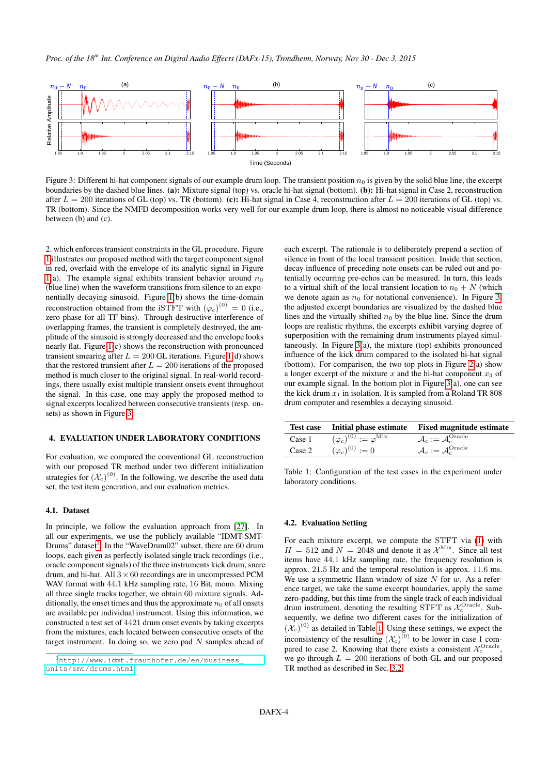

<span id="page-3-1"></span>Figure 3: Different hi-hat component signals of our example drum loop. The transient position  $n_0$  is given by the solid blue line, the excerpt boundaries by the dashed blue lines. (a): Mixture signal (top) vs. oracle hi-hat signal (bottom). (b): Hi-hat signal in Case 2, reconstruction after  $L = 200$  iterations of GL (top) vs. TR (bottom). (c): Hi-hat signal in Case 4, reconstruction after  $L = 200$  iterations of GL (top) vs. TR (bottom). Since the NMFD decomposition works very well for our example drum loop, there is almost no noticeable visual difference between (b) and (c).

2. which enforces transient constraints in the GL procedure. Figure [1](#page-1-0) illustrates our proposed method with the target component signal in red, overlaid with the envelope of its analytic signal in Figure [1\(](#page-1-0)a). The example signal exhibits transient behavior around  $n_0$ (blue line) when the waveform transitions from silence to an exponentially decaying sinusoid. Figure [1\(](#page-1-0)b) shows the time-domain reconstruction obtained from the iSTFT with  $(\varphi_c)^{(0)} = 0$  (i.e., zero phase for all TF bins). Through destructive interference of overlapping frames, the transient is completely destroyed, the amplitude of the sinusoid is strongly decreased and the envelope looks nearly flat. Figure [1\(](#page-1-0)c) shows the reconstruction with pronounced transient smearing after  $L = 200$  GL iterations. Figure [1\(](#page-1-0)d) shows that the restored transient after  $L = 200$  iterations of the proposed method is much closer to the original signal. In real-world recordings, there usually exist multiple transient onsets event throughout the signal. In this case, one may apply the proposed method to signal excerpts localized between consecutive transients (resp. onsets) as shown in Figure [3.](#page-3-1)

#### <span id="page-3-0"></span>4. EVALUATION UNDER LABORATORY CONDITIONS

For evaluation, we compared the conventional GL reconstruction with our proposed TR method under two different initialization strategies for  $(\mathcal{X}_c)^{(0)}$ . In the following, we describe the used data set, the test item generation, and our evaluation metrics.

#### 4.1. Dataset

In principle, we follow the evaluation approach from [\[27\]](#page-7-22). In all our experiments, we use the publicly available "IDMT-SMT-Drums" dataset<sup>[1](#page-3-2)</sup>. In the "WaveDrum02" subset, there are 60 drum loops, each given as perfectly isolated single track recordings (i.e., oracle component signals) of the three instruments kick drum, snare drum, and hi-hat. All  $3 \times 60$  recordings are in uncompressed PCM WAV format with 44.1 kHz sampling rate, 16 Bit, mono. Mixing all three single tracks together, we obtain 60 mixture signals. Additionally, the onset times and thus the approximate  $n_0$  of all onsets are available per individual instrument. Using this information, we constructed a test set of 4421 drum onset events by taking excerpts from the mixtures, each located between consecutive onsets of the target instrument. In doing so, we zero pad  $N$  samples ahead of

each excerpt. The rationale is to deliberately prepend a section of silence in front of the local transient position. Inside that section, decay influence of preceding note onsets can be ruled out and potentially occurring pre-echos can be measured. In turn, this leads to a virtual shift of the local transient location to  $n_0 + N$  (which we denote again as  $n_0$  for notational convenience). In Figure [3,](#page-3-1) the adjusted excerpt boundaries are visualized by the dashed blue lines and the virtually shifted  $n_0$  by the blue line. Since the drum loops are realistic rhythms, the excerpts exhibit varying degree of superposition with the remaining drum instruments played simultaneously. In Figure [3\(](#page-3-1)a), the mixture (top) exhibits pronounced influence of the kick drum compared to the isolated hi-hat signal (bottom). For comparison, the two top plots in Figure [2\(](#page-2-0)a) show a longer excerpt of the mixture  $x$  and the hi-hat component  $x_3$  of our example signal. In the bottom plot in Figure [3\(](#page-3-1)a), one can see the kick drum  $x_1$  in isolation. It is sampled from a Roland TR 808 drum computer and resembles a decaying sinusoid.

<span id="page-3-3"></span>

|        |                                             | Test case Initial phase estimate Fixed magnitude estimate |
|--------|---------------------------------------------|-----------------------------------------------------------|
| Case 1 | $(\varphi_c)^{(0)} := \varphi^{\text{Mix}}$ | $\mathcal{A}_c := \mathcal{A}_c^{\text{Oracle}}$          |
| Case 2 | $(\varphi_c)^{(0)} := 0$                    | $\mathcal{A}_c := \mathcal{A}_c^{\text{Oracle}}$          |

Table 1: Configuration of the test cases in the experiment under laboratory conditions.

#### <span id="page-3-4"></span>4.2. Evaluation Setting

For each mixture excerpt, we compute the STFT via [\(1\)](#page-1-3) with  $H = 512$  and  $N = 2048$  and denote it as  $\mathcal{X}^{\text{Mix}}$ . Since all test items have 44.1 kHz sampling rate, the frequency resolution is approx. 21.5 Hz and the temporal resolution is approx. 11.6 ms. We use a symmetric Hann window of size  $N$  for  $w$ . As a reference target, we take the same excerpt boundaries, apply the same zero-padding, but this time from the single track of each individual drum instrument, denoting the resulting STFT as  $\mathcal{X}_c^{\text{Oracle}}$ . Subsequently, we define two different cases for the initialization of  $(\mathcal{X}_c)^{(0)}$  as detailed in Table [1.](#page-3-3) Using these settings, we expect the inconsistency of the resulting  $(\mathcal{X}_c)^{(0)}$  to be lower in case 1 compared to case 2. Knowing that there exists a consistent  $\mathcal{X}_c^{\text{Oracle}}$ , we go through  $L = 200$  iterations of both GL and our proposed TR method as described in Sec. [3.2.](#page-2-1)

<span id="page-3-2"></span><sup>1</sup>[http://www.idmt.fraunhofer.de/en/business\\_](http://www.idmt.fraunhofer.de/en/business_units/smt/drums.html) [units/smt/drums.html](http://www.idmt.fraunhofer.de/en/business_units/smt/drums.html)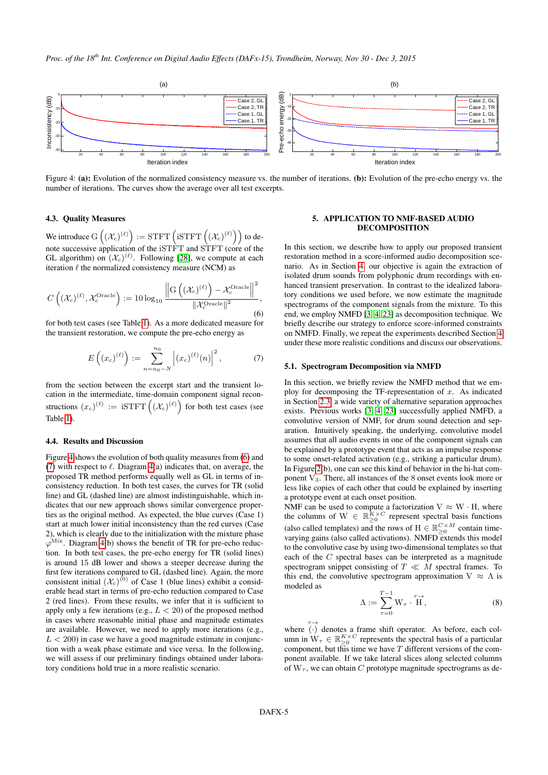

<span id="page-4-1"></span>Figure 4: (a): Evolution of the normalized consistency measure vs. the number of iterations. (b): Evolution of the pre-echo energy vs. the number of iterations. The curves show the average over all test excerpts. Case 3, GL

#### 4.3. Quality Measures

We introduce  $\mathrm{G}\left((\mathcal{X}_c)^{(\ell)}\right) := \mathrm{STFT}\left(\mathrm{iSTFT}\left((\mathcal{X}_c)^{(\ell)}\right)\right)$  to denote successive application of the iSTFT and STFT (core of the GL algorithm) on  $(\mathcal{X}_c)^{(\ell)}$ . Following [\[28\]](#page-7-23), we compute at each iteration  $\ell$  the normalized consistency measure (NCM) as

<span id="page-4-2"></span>
$$
C\left((\mathcal{X}_c)^{(\ell)}, \mathcal{X}_c^{\text{Oracle}}\right) := 10 \log_{10} \frac{\left\| \mathcal{G}\left((\mathcal{X}_c)^{(\ell)}\right) - \mathcal{X}_c^{\text{Oracle}} \right\|^2}{\left\| \mathcal{X}_c^{\text{Oracle}} \right\|^2},\tag{6}
$$

for both test cases (see Table [1\)](#page-3-3). As a more dedicated measure for the transient restoration, we compute the pre-echo energy as

<span id="page-4-3"></span>
$$
E\left((x_c)^{(\ell)}\right) := \sum_{n=n_0-N}^{n_0} \left| (x_c)^{(\ell)}(n) \right|^2, \tag{7}
$$

from the section between the excerpt start and the transient location in the intermediate, time-domain component signal reconstructions  $(x_c)^{(\ell)} := \text{ iSTFT}\left((\mathcal{X}_c)^{(\ell)}\right)$  for both test cases (see Table [1\)](#page-3-3).

### 4.4. Results and Discussion

Figure [4](#page-4-1) shows the evolution of both quality measures from [\(6\)](#page-4-2) and [\(7\)](#page-4-3) with respect to  $\ell$ . Diagram [4\(](#page-4-1)a) indicates that, on average, the proposed TR method performs equally well as GL in terms of inconsistency reduction. In both test cases, the curves for TR (solid line) and GL (dashed line) are almost indistinguishable, which indicates that our new approach shows similar convergence properties as the original method. As expected, the blue curves (Case 1) start at much lower initial inconsistency than the red curves (Case 2), which is clearly due to the initialization with the mixture phase  $\varphi^{\text{Mix}}$ . Diagram [4\(](#page-4-1)b) shows the benefit of TR for pre-echo reduction. In both test cases, the pre-echo energy for TR (solid lines) is around 15 dB lower and shows a steeper decrease during the first few iterations compared to GL (dashed line). Again, the more consistent initial  $(\mathcal{X}_c)^{(0)}$  of Case 1 (blue lines) exhibit a considerable head start in terms of pre-echo reduction compared to Case 2 (red lines). From these results, we infer that it is sufficient to apply only a few iterations (e.g.,  $L < 20$ ) of the proposed method in cases where reasonable initial phase and magnitude estimates are available. However, we need to apply more iterations (e.g.,  $L < 200$ ) in case we have a good magnitude estimate in conjunction with a weak phase estimate and vice versa. In the following, we will assess if our preliminary findings obtained under laboratory conditions hold true in a more realistic scenario.

## <span id="page-4-0"></span>DECOMPOSITION 5. APPLICATION TO NMF-BASED AUDIO

In this section, we describe how to apply our proposed transient restoration method in a score-informed audio decomposition scenario. As in Section [4,](#page-3-0) our objective is again the extraction of isolated drum sounds from polyphonic drum recordings with enhanced transient preservation. In contrast to the idealized laboratory conditions we used before, we now estimate the magnitude spectrograms of the component signals from the mixture. To this end, we employ NMFD [\[3,](#page-6-2) [4,](#page-6-3) [23\]](#page-7-18) as decomposition technique. We briefly describe our strategy to enforce score-informed constraints on NMFD. Finally, we repeat the experiments described Section [4](#page-3-0) under these more realistic conditions and discuss our observations.

## 5.1. Spectrogram Decomposition via NMFD

In this section, we briefly review the NMFD method that we employ for decomposing the TF-representation of  $x$ . As indicated in Section [2.3,](#page-1-4) a wide variety of alternative separation approaches exists. Previous works [\[3,](#page-6-2) [4,](#page-6-3) [23\]](#page-7-18) successfully applied NMFD, a convolutive version of NMF, for drum sound detection and separation. Intuitively speaking, the underlying, convolutive model assumes that all audio events in one of the component signals can be explained by a prototype event that acts as an impulse response to some onset-related activation (e.g., striking a particular drum). In Figure [2\(](#page-2-0)b), one can see this kind of behavior in the hi-hat component V3. There, all instances of the 8 onset events look more or less like copies of each other that could be explained by inserting a prototype event at each onset position.

NMF can be used to compute a factorization  $V \approx W \cdot H$ , where the columns of  $W \in \mathbb{R}_{\geq 0}^{K \times C}$  represent spectral basis functions (also called templates) and the rows of H  $\in \mathbb{R}_{\geq 0}^{C \times M}$  contain timevarying gains (also called activations). NMFD extends this model to the convolutive case by using two-dimensional templates so that each of the C spectral bases can be interpreted as a magnitude spectrogram snippet consisting of  $T \ll M$  spectral frames. To this end, the convolutive spectrogram approximation  $V \approx \Lambda$  is modeled as

$$
\Lambda := \sum_{\tau=0}^{T-1} \mathbf{W}_{\tau} \cdot \stackrel{\tau \to}{\mathbf{H}},\tag{8}
$$

where  $\overrightarrow{(\cdot)}$  denotes a frame shift operator. As before, each column in  $W_{\tau} \in \mathbb{R}_{\geq 0}^{K \times C}$  represents the spectral basis of a particular component, but this time we have  $T$  different versions of the component available. If we take lateral slices along selected columns of  $W_{\tau}$ , we can obtain C prototype magnitude spectrograms as de-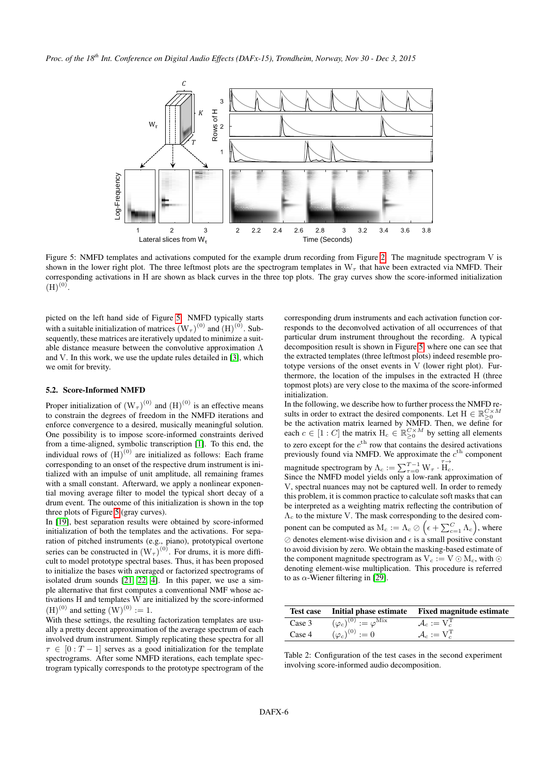

<span id="page-5-0"></span>Figure 5: NMFD templates and activations computed for the example drum recording from Figure [2.](#page-2-0) The magnitude spectrogram V is shown in the lower right plot. The three leftmost plots are the spectrogram templates in  $W<sub>\tau</sub>$  that have been extracted via NMFD. Their corresponding activations in H are shown as black curves in the three top plots. The gray curves show the score-informed initialization  $(H)$ <sup>(0)</sup>.

picted on the left hand side of Figure [5.](#page-5-0) NMFD typically starts with a suitable initialization of matrices  $(W_\tau)^{(0)}$  and  $(H)^{(0)}$ . Subsequently, these matrices are iteratively updated to minimize a suitable distance measure between the convolutive approximation Λ and V. In this work, we use the update rules detailed in [\[3\]](#page-6-2), which we omit for brevity.

## 5.2. Score-Informed NMFD

Proper initialization of  $(W_\tau)^{(0)}$  and  $(H)^{(0)}$  is an effective means to constrain the degrees of freedom in the NMFD iterations and enforce convergence to a desired, musically meaningful solution. One possibility is to impose score-informed constraints derived from a time-aligned, symbolic transcription [\[1\]](#page-6-0). To this end, the individual rows of  $(H)$ <sup>(0)</sup> are initialized as follows: Each frame corresponding to an onset of the respective drum instrument is initialized with an impulse of unit amplitude, all remaining frames with a small constant. Afterward, we apply a nonlinear exponential moving average filter to model the typical short decay of a drum event. The outcome of this initialization is shown in the top three plots of Figure [5](#page-5-0) (gray curves).

In [\[19\]](#page-7-14), best separation results were obtained by score-informed initialization of both the templates and the activations. For separation of pitched instruments (e.g., piano), prototypical overtone series can be constructed in  $(W_\tau)^{(0)}$ . For drums, it is more difficult to model prototype spectral bases. Thus, it has been proposed to initialize the bases with averaged or factorized spectrograms of isolated drum sounds [\[21,](#page-7-16) [22,](#page-7-17) [4\]](#page-6-3). In this paper, we use a simple alternative that first computes a conventional NMF whose activations  $H$  and templates  $W$  are initialized by the score-informed  $(H)^{(0)}$  and setting  $(W)^{(0)} := 1$ .

With these settings, the resulting factorization templates are usually a pretty decent approximation of the average spectrum of each involved drum instrument. Simply replicating these spectra for all  $\tau \in [0 : T - 1]$  serves as a good initialization for the template spectrograms. After some NMFD iterations, each template spectrogram typically corresponds to the prototype spectrogram of the corresponding drum instruments and each activation function corresponds to the deconvolved activation of all occurrences of that particular drum instrument throughout the recording. A typical decomposition result is shown in Figure [5,](#page-5-0) where one can see that the extracted templates (three leftmost plots) indeed resemble prototype versions of the onset events in V (lower right plot). Furthermore, the location of the impulses in the extracted H (three topmost plots) are very close to the maxima of the score-informed initialization.

In the following, we describe how to further process the NMFD results in order to extract the desired components. Let  $H \in \mathbb{R}_{\geq 0}^{C \times M}$ be the activation matrix learned by NMFD. Then, we define for each  $c \in [1 : C]$  the matrix  $H_c \in \mathbb{R}_{\geq 0}^{C \times M}$  by setting all elements to zero except for the  $c<sup>th</sup>$  row that contains the desired activations previously found via NMFD. We approximate the  $c^{\text{th}}$  component magnitude spectrogram by  $\Lambda_c := \sum_{\tau=0}^{T-1} W_{\tau} \cdot \overrightarrow{H_c}$ .

Since the NMFD model yields only a low-rank approximation of V, spectral nuances may not be captured well. In order to remedy this problem, it is common practice to calculate soft masks that can be interpreted as a weighting matrix reflecting the contribution of  $\Lambda_c$  to the mixture V. The mask corresponding to the desired component can be computed as  $M_c := \Lambda_c \oslash \left(\epsilon + \sum_{c=1}^C \Lambda_c\right)$ , where  $\oslash$  denotes element-wise division and  $\epsilon$  is a small positive constant to avoid division by zero. We obtain the masking-based estimate of the component magnitude spectrogram as  $V_c := V \odot M_c$ , with  $\odot$ denoting element-wise multiplication. This procedure is referred to as  $\alpha$ -Wiener filtering in [\[29\]](#page-7-24).

<span id="page-5-1"></span>

|        |                                             | Test case Initial phase estimate Fixed magnitude estimate |
|--------|---------------------------------------------|-----------------------------------------------------------|
| Case 3 | $(\varphi_c)^{(0)} := \varphi^{\text{Mix}}$ | $\mathcal{A}_c := V_c^{\mathrm{T}}$                       |
| Case 4 | $(\varphi_c)^{(0)} := 0$                    | $\mathcal{A}_c := V_c^{\mathrm{T}}$                       |

Table 2: Configuration of the test cases in the second experiment involving score-informed audio decomposition.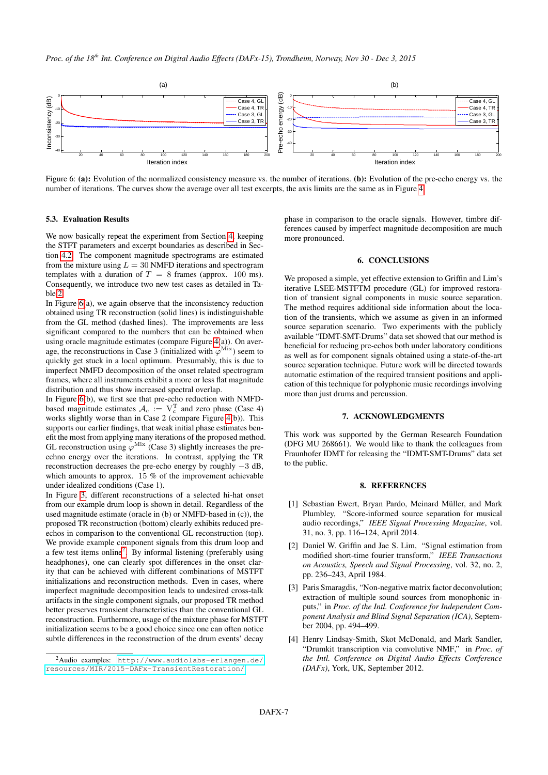

<span id="page-6-5"></span>Figure 6: (a): Evolution of the normalized consistency measure vs. the number of iterations. (b): Evolution of the pre-echo energy vs. the number of iterations. The curves show the average over all test excerpts, the axis limits are the same as in Figure [4.](#page-4-1)

#### 5.3. Evaluation Results

We now basically repeat the experiment from Section [4,](#page-3-0) keeping the STFT parameters and excerpt boundaries as described in Section [4.2.](#page-3-4) The component magnitude spectrograms are estimated from the mixture using  $L = 30$  NMFD iterations and spectrogram templates with a duration of  $T = 8$  frames (approx. 100 ms). Consequently, we introduce two new test cases as detailed in Table [2.](#page-5-1)

In Figure [6\(](#page-6-5)a), we again observe that the inconsistency reduction obtained using TR reconstruction (solid lines) is indistinguishable from the GL method (dashed lines). The improvements are less significant compared to the numbers that can be obtained when using oracle magnitude estimates (compare Figure [4\(](#page-4-1)a)). On average, the reconstructions in Case 3 (initialized with  $\varphi^{\text{Mix}}$ ) seem to quickly get stuck in a local optimum. Presumably, this is due to imperfect NMFD decomposition of the onset related spectrogram frames, where all instruments exhibit a more or less flat magnitude distribution and thus show increased spectral overlap.

In Figure [6\(](#page-6-5)b), we first see that pre-echo reduction with NMFDbased magnitude estimates  $A_c := V_c^T$  and zero phase (Case 4) works slightly worse than in Case 2 (compare Figure [4\(](#page-4-1)b)). This supports our earlier findings, that weak initial phase estimates benefit the most from applying many iterations of the proposed method. GL reconstruction using  $\varphi^{\text{Mix}}$  (Case 3) slightly increases the preechno energy over the iterations. In contrast, applying the TR reconstruction decreases the pre-echo energy by roughly −3 dB, which amounts to approx. 15 % of the improvement achievable under idealized conditions (Case 1).

In Figure [3,](#page-3-1) different reconstructions of a selected hi-hat onset from our example drum loop is shown in detail. Regardless of the used magnitude estimate (oracle in (b) or NMFD-based in (c)), the proposed TR reconstruction (bottom) clearly exhibits reduced preechos in comparison to the conventional GL reconstruction (top). We provide example component signals from this drum loop and a few test items online<sup>[2](#page-6-6)</sup>. By informal listening (preferably using headphones), one can clearly spot differences in the onset clarity that can be achieved with different combinations of MSTFT initializations and reconstruction methods. Even in cases, where imperfect magnitude decomposition leads to undesired cross-talk artifacts in the single component signals, our proposed TR method better preserves transient characteristics than the conventional GL reconstruction. Furthermore, usage of the mixture phase for MSTFT initialization seems to be a good choice since one can often notice subtle differences in the reconstruction of the drum events' decay

phase in comparison to the oracle signals. However, timbre differences caused by imperfect magnitude decomposition are much more pronounced.

## 6. CONCLUSIONS

<span id="page-6-4"></span>We proposed a simple, yet effective extension to Griffin and Lim's iterative LSEE-MSTFTM procedure (GL) for improved restoration of transient signal components in music source separation. The method requires additional side information about the location of the transients, which we assume as given in an informed source separation scenario. Two experiments with the publicly available "IDMT-SMT-Drums" data set showed that our method is beneficial for reducing pre-echos both under laboratory conditions as well as for component signals obtained using a state-of-the-art source separation technique. Future work will be directed towards automatic estimation of the required transient positions and application of this technique for polyphonic music recordings involving more than just drums and percussion.

## 7. ACKNOWLEDGMENTS

This work was supported by the German Research Foundation (DFG MU 268661). We would like to thank the colleagues from Fraunhofer IDMT for releasing the "IDMT-SMT-Drums" data set to the public.

#### 8. REFERENCES

- <span id="page-6-0"></span>[1] Sebastian Ewert, Bryan Pardo, Meinard Müller, and Mark Plumbley, "Score-informed source separation for musical audio recordings," *IEEE Signal Processing Magazine*, vol. 31, no. 3, pp. 116–124, April 2014.
- <span id="page-6-1"></span>[2] Daniel W. Griffin and Jae S. Lim, "Signal estimation from modified short-time fourier transform," *IEEE Transactions on Acoustics, Speech and Signal Processing*, vol. 32, no. 2, pp. 236–243, April 1984.
- <span id="page-6-2"></span>[3] Paris Smaragdis, "Non-negative matrix factor deconvolution; extraction of multiple sound sources from monophonic inputs," in *Proc. of the Intl. Conference for Independent Component Analysis and Blind Signal Separation (ICA)*, September 2004, pp. 494–499.
- <span id="page-6-3"></span>[4] Henry Lindsay-Smith, Skot McDonald, and Mark Sandler, "Drumkit transcription via convolutive NMF," in *Proc. of the Intl. Conference on Digital Audio Effects Conference (DAFx)*, York, UK, September 2012.

<span id="page-6-6"></span><sup>2</sup>Audio examples: [http://www.audiolabs-erlangen.de/](http://www.audiolabs-erlangen.de/resources/MIR/2015-DAFx-TransientRestoration/) [resources/MIR/2015-DAFx-TransientRestoration/](http://www.audiolabs-erlangen.de/resources/MIR/2015-DAFx-TransientRestoration/)